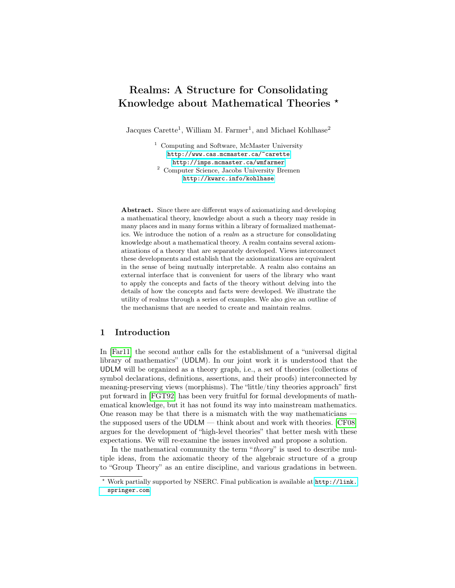# Realms: A Structure for Consolidating Knowledge about Mathematical Theories  $*$

Jacques Carette<sup>1</sup>, William M. Farmer<sup>1</sup>, and Michael Kohlhase<sup>2</sup>

<sup>1</sup> Computing and Software, McMaster University <http://www.cas.mcmaster.ca/~carette> <http://imps.mcmaster.ca/wmfarmer> <sup>2</sup> Computer Science, Jacobs University Bremen <http://kwarc.info/kohlhase>

Abstract. Since there are different ways of axiomatizing and developing a mathematical theory, knowledge about a such a theory may reside in many places and in many forms within a library of formalized mathematics. We introduce the notion of a realm as a structure for consolidating knowledge about a mathematical theory. A realm contains several axiomatizations of a theory that are separately developed. Views interconnect these developments and establish that the axiomatizations are equivalent in the sense of being mutually interpretable. A realm also contains an external interface that is convenient for users of the library who want to apply the concepts and facts of the theory without delving into the details of how the concepts and facts were developed. We illustrate the utility of realms through a series of examples. We also give an outline of the mechanisms that are needed to create and maintain realms.

# 1 Introduction

In [\[Far11\]](#page-14-0) the second author calls for the establishment of a "universal digital library of mathematics" (UDLM). In our joint work it is understood that the UDLM will be organized as a theory graph, i.e., a set of theories (collections of symbol declarations, definitions, assertions, and their proofs) interconnected by meaning-preserving views (morphisms). The "little/tiny theories approach" first put forward in [\[FGT92\]](#page-14-1) has been very fruitful for formal developments of mathematical knowledge, but it has not found its way into mainstream mathematics. One reason may be that there is a mismatch with the way mathematicians the supposed users of the UDLM — think about and work with theories. [\[CF08\]](#page-13-0) argues for the development of "high-level theories" that better mesh with these expectations. We will re-examine the issues involved and propose a solution.

In the mathematical community the term "*theory*" is used to describe multiple ideas, from the axiomatic theory of the algebraic structure of a group to "Group Theory" as an entire discipline, and various gradations in between.

<sup>?</sup> Work partially supported by NSERC. Final publication is available at [http://link.](http://link.springer.com) [springer.com](http://link.springer.com)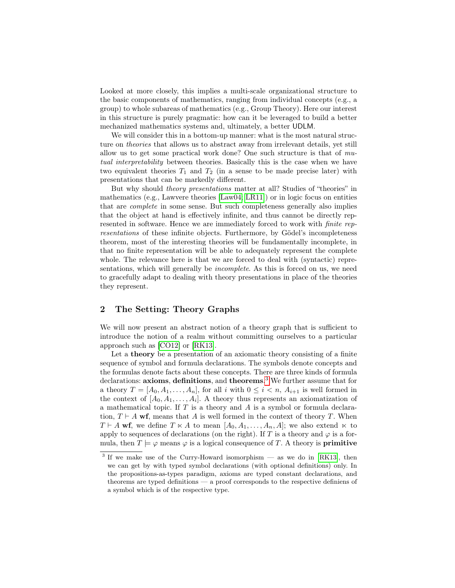Looked at more closely, this implies a multi-scale organizational structure to the basic components of mathematics, ranging from individual concepts (e.g., a group) to whole subareas of mathematics (e.g., Group Theory). Here our interest in this structure is purely pragmatic: how can it be leveraged to build a better mechanized mathematics systems and, ultimately, a better UDLM.

We will consider this in a bottom-up manner: what is the most natural structure on theories that allows us to abstract away from irrelevant details, yet still allow us to get some practical work done? One such structure is that of mutual interpretability between theories. Basically this is the case when we have two equivalent theories  $T_1$  and  $T_2$  (in a sense to be made precise later) with presentations that can be markedly different.

But why should theory presentations matter at all? Studies of "theories" in mathematics (e.g., Lawvere theories [\[Law04;](#page-14-2) [LR11\]](#page-14-3)) or in logic focus on entities that are complete in some sense. But such completeness generally also implies that the object at hand is effectively infinite, and thus cannot be directly represented in software. Hence we are immediately forced to work with finite representations of these infinite objects. Furthermore, by Gödel's incompleteness theorem, most of the interesting theories will be fundamentally incomplete, in that no finite representation will be able to adequately represent the complete whole. The relevance here is that we are forced to deal with (syntactic) representations, which will generally be incomplete. As this is forced on us, we need to gracefully adapt to dealing with theory presentations in place of the theories they represent.

### 2 The Setting: Theory Graphs

We will now present an abstract notion of a theory graph that is sufficient to introduce the notion of a realm without committing ourselves to a particular approach such as [\[CO12\]](#page-14-4) or [\[RK13\]](#page-14-5).

Let a **theory** be a presentation of an axiomatic theory consisting of a finite sequence of symbol and formula declarations. The symbols denote concepts and the formulas denote facts about these concepts. There are three kinds of formula declarations: **axioms**, definitions, and theorems.<sup>[3](#page-1-0)</sup> We further assume that for a theory  $T = [A_0, A_1, \ldots, A_n]$ , for all i with  $0 \leq i \leq n$ ,  $A_{i+1}$  is well formed in the context of  $[A_0, A_1, \ldots, A_i]$ . A theory thus represents an axiomatization of a mathematical topic. If  $T$  is a theory and  $\overline{A}$  is a symbol or formula declaration,  $T \vdash A$  wf, means that A is well formed in the context of theory T. When  $T \vdash A$  wf, we define  $T \ltimes A$  to mean  $[A_0, A_1, \ldots, A_n, A]$ ; we also extend  $\ltimes$  to apply to sequences of declarations (on the right). If T is a theory and  $\varphi$  is a formula, then  $T \models \varphi$  means  $\varphi$  is a logical consequence of T. A theory is **primitive** 

<span id="page-1-0"></span><sup>&</sup>lt;sup>3</sup> If we make use of the Curry-Howard isomorphism — as we do in [\[RK13\]](#page-14-5), then we can get by with typed symbol declarations (with optional definitions) only. In the propositions-as-types paradigm, axioms are typed constant declarations, and theorems are typed definitions — a proof corresponds to the respective definiens of a symbol which is of the respective type.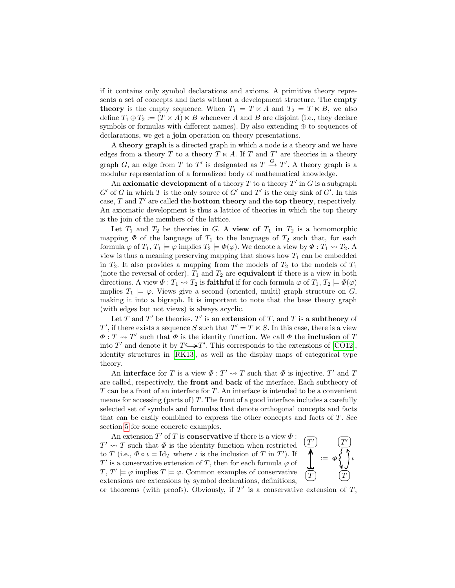if it contains only symbol declarations and axioms. A primitive theory represents a set of concepts and facts without a development structure. The empty **theory** is the empty sequence. When  $T_1 = T \times A$  and  $T_2 = T \times B$ , we also define  $T_1 \oplus T_2 := (T \ltimes A) \ltimes B$  whenever A and B are disjoint (i.e., they declare symbols or formulas with different names). By also extending ⊕ to sequences of declarations, we get a **join** operation on theory presentations.

A theory graph is a directed graph in which a node is a theory and we have edges from a theory T to a theory  $T \times A$ . If T and T' are theories in a theory graph G, an edge from T to T' is designated as  $T \stackrel{G}{\rightarrow} T'$ . A theory graph is a modular representation of a formalized body of mathematical knowledge.

An axiomatic development of a theory  $T$  to a theory  $T'$  in  $G$  is a subgraph  $G'$  of G in which T is the only source of  $G'$  and T' is the only sink of  $G'$ . In this case,  $T$  and  $T'$  are called the **bottom theory** and the **top theory**, respectively. An axiomatic development is thus a lattice of theories in which the top theory is the join of the members of the lattice.

Let  $T_1$  and  $T_2$  be theories in G. A **view of**  $T_1$  in  $T_2$  is a homomorphic mapping  $\Phi$  of the language of  $T_1$  to the language of  $T_2$  such that, for each formula  $\varphi$  of  $T_1, T_1 \models \varphi$  implies  $T_2 \models \Phi(\varphi)$ . We denote a view by  $\Phi : T_1 \rightsquigarrow T_2$ . view is thus a meaning preserving mapping that shows how  $T_1$  can be embedded in  $T_2$ . It also provides a mapping from the models of  $T_2$  to the models of  $T_1$ (note the reversal of order).  $T_1$  and  $T_2$  are **equivalent** if there is a view in both directions. A view  $\Phi: T_1 \rightsquigarrow T_2$  is **faithful** if for each formula  $\varphi$  of  $T_1, T_2 \models \Phi(\varphi)$ implies  $T_1 \models \varphi$ . Views give a second (oriented, multi) graph structure on G, making it into a bigraph. It is important to note that the base theory graph (with edges but not views) is always acyclic.

Let T and T' be theories. T' is an extension of T, and T is a subtheory of T', if there exists a sequence S such that  $T' = T \ltimes S$ . In this case, there is a view  $\Phi: T \rightsquigarrow T'$  such that  $\Phi$  is the identity function. We call  $\Phi$  the **inclusion** of T into T' and denote it by  $T \rightarrow T'$ . This corresponds to the extensions of [\[CO12\]](#page-14-4), identity structures in [\[RK13\]](#page-14-5), as well as the display maps of categorical type theory.

An **interface** for T is a view  $\Phi: T' \to T$  such that  $\Phi$  is injective. T' and T are called, respectively, the front and back of the interface. Each subtheory of  $T$  can be a front of an interface for  $T$ . An interface is intended to be a convenient means for accessing (parts of) T. The front of a good interface includes a carefully selected set of symbols and formulas that denote orthogonal concepts and facts that can be easily combined to express the other concepts and facts of T. See section [5](#page-6-0) for some concrete examples.

An extension  $T'$  of T is **conservative** if there is a view  $\Phi$ :  $T' \rightsquigarrow T$  such that  $\Phi$  is the identity function when restricted to T (i.e.,  $\Phi \circ \iota = \mathrm{Id}_T$  where  $\iota$  is the inclusion of T in T'). If T' is a conservative extension of T, then for each formula  $\varphi$  of  $T, T' \models \varphi$  implies  $T \models \varphi$ . Common examples of conservative extensions are extensions by symbol declarations, definitions,



or theorems (with proofs). Obviously, if  $T'$  is a conservative extension of  $T$ ,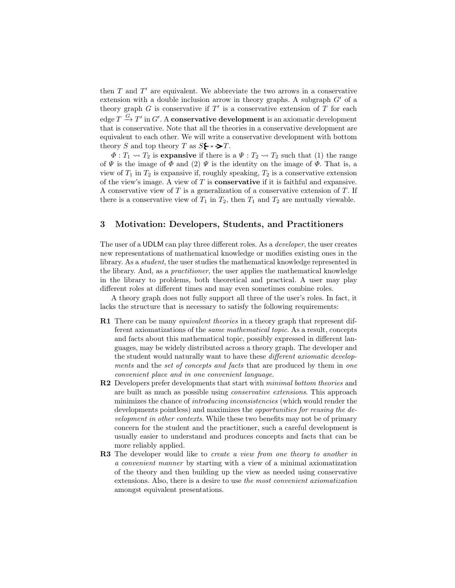then  $T$  and  $T'$  are equivalent. We abbreviate the two arrows in a conservative extension with a double inclusion arrow in theory graphs. A subgraph  $G'$  of a theory graph  $G$  is conservative if  $T'$  is a conservative extension of  $T$  for each edge  $T \xrightarrow{G} T'$  in  $G'$ . A conservative development is an axiomatic development that is conservative. Note that all the theories in a conservative development are equivalent to each other. We will write a conservative development with bottom theory S and top theory T as  $S \epsilon = \blacktriangleright T$ .

 $\Phi: T_1 \rightsquigarrow T_2$  is expansive if there is a  $\Psi: T_2 \rightsquigarrow T_2$  such that (1) the range of  $\Psi$  is the image of  $\Phi$  and (2)  $\Psi$  is the identity on the image of  $\Phi$ . That is, a view of  $T_1$  in  $T_2$  is expansive if, roughly speaking,  $T_2$  is a conservative extension of the view's image. A view of  $T$  is **conservative** if it is faithful and expansive. A conservative view of  $T$  is a generalization of a conservative extension of  $T$ . If there is a conservative view of  $T_1$  in  $T_2$ , then  $T_1$  and  $T_2$  are mutually viewable.

# <span id="page-3-0"></span>3 Motivation: Developers, Students, and Practitioners

The user of a UDLM can play three different roles. As a developer, the user creates new representations of mathematical knowledge or modifies existing ones in the library. As a student, the user studies the mathematical knowledge represented in the library. And, as a practitioner, the user applies the mathematical knowledge in the library to problems, both theoretical and practical. A user may play different roles at different times and may even sometimes combine roles.

A theory graph does not fully support all three of the user's roles. In fact, it lacks the structure that is necessary to satisfy the following requirements:

- <span id="page-3-1"></span>R1 There can be many *equivalent theories* in a theory graph that represent different axiomatizations of the same mathematical topic. As a result, concepts and facts about this mathematical topic, possibly expressed in different languages, may be widely distributed across a theory graph. The developer and the student would naturally want to have these different axiomatic developments and the set of concepts and facts that are produced by them in one convenient place and in one convenient language.
- <span id="page-3-2"></span>R2 Developers prefer developments that start with *minimal bottom theories* and are built as much as possible using conservative extensions. This approach minimizes the chance of *introducing inconsistencies* (which would render the developments pointless) and maximizes the *opportunities for reusing the de*velopment in other contexts. While these two benefits may not be of primary concern for the student and the practitioner, such a careful development is usually easier to understand and produces concepts and facts that can be more reliably applied.
- <span id="page-3-3"></span>**R3** The developer would like to create a view from one theory to another in a convenient manner by starting with a view of a minimal axiomatization of the theory and then building up the view as needed using conservative extensions. Also, there is a desire to use the most convenient axiomatization amongst equivalent presentations.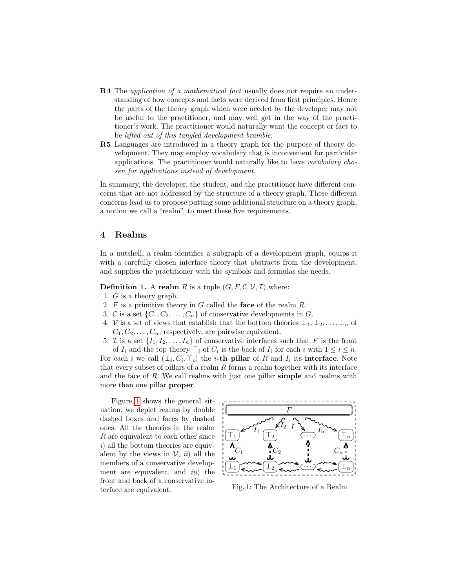- <span id="page-4-1"></span>**R4** The *application of a mathematical fact* usually does not require an understanding of how concepts and facts were derived from first principles. Hence the parts of the theory graph which were needed by the developer may not be useful to the practitioner, and may well get in the way of the practitioner's work. The practitioner would naturally want the concept or fact to be lifted out of this tangled development bramble.
- <span id="page-4-2"></span>R5 Languages are introduced in a theory graph for the purpose of theory development. They may employ vocabulary that is inconvenient for particular applications. The practitioner would naturally like to have vocabulary chosen for applications instead of development.

In summary, the developer, the student, and the practitioner have different concerns that are not addressed by the structure of a theory graph. These different concerns lead us to propose putting some additional structure on a theory graph, a notion we call a "realm", to meet these five requirements.

### 4 Realms

In a nutshell, a realm identifies a subgraph of a development graph, equips it with a carefully chosen interface theory that abstracts from the development, and supplies the practitioner with the symbols and formulas she needs.

<span id="page-4-3"></span>**Definition 1.** A realm R is a tuple  $(G, F, C, V, \mathcal{I})$  where:

- 1. G is a theory graph.
- 2.  $F$  is a primitive theory in  $G$  called the face of the realm  $R$ .
- 3. C is a set  $\{C_1, C_2, \ldots, C_n\}$  of conservative developments in G.
- 4. V is a set of views that establish that the bottom theories  $\bot_1, \bot_2, \ldots, \bot_n$  of  $C_1, C_2, \ldots, C_n$ , respectively, are pairwise equivalent.
- 5. *I* is a set  $\{I_1, I_2, \ldots, I_n\}$  of conservative interfaces such that *F* is the front of  $I_i$  and the top theory  $\top_i$  of  $C_i$  is the back of  $I_i$  for each i with  $1 \leq i \leq n$ .

For each *i* we call  $(\bot_i, C_i, \top_i)$  the *i*-th pillar of R and  $I_i$  its interface. Note that every subset of pillars of a realm  $R$  forms a realm together with its interface and the face of R. We call realms with just one pillar **simple** and realms with more than one pillar proper.

Figure [1](#page-4-0) shows the general situation, we depict realms by double dashed boxes and faces by dashed ones. All the theories in the realm R are equivalent to each other since  $i)$  all the bottom theories are equivalent by the views in  $V$ , *ii*) all the members of a conservative development are equivalent, and *iii*) the front and back of a conservative interface are equivalent.

<span id="page-4-0"></span>

Fig. 1: The Architecture of a Realm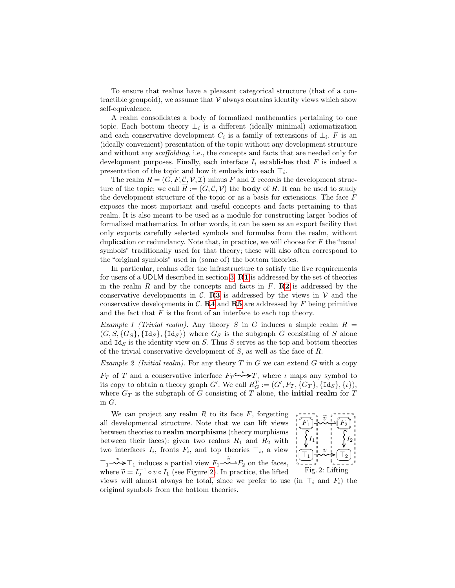To ensure that realms have a pleasant categorical structure (that of a contractible groupoid), we assume that  $V$  always contains identity views which show self-equivalence.

A realm consolidates a body of formalized mathematics pertaining to one topic. Each bottom theory  $\perp_i$  is a different (ideally minimal) axiomatization and each conservative development  $C_i$  is a family of extensions of  $\perp_i$ . F is an (ideally convenient) presentation of the topic without any development structure and without any scaffolding, i.e., the concepts and facts that are needed only for development purposes. Finally, each interface  $I_i$  establishes that F is indeed a presentation of the topic and how it embeds into each  $\top_i$ .

The realm  $R = (G, F, C, V, \mathcal{I})$  minus F and I records the development structure of the topic; we call  $\overline{R} := (G, \mathcal{C}, \mathcal{V})$  the **body** of R. It can be used to study the development structure of the topic or as a basis for extensions. The face F exposes the most important and useful concepts and facts pertaining to that realm. It is also meant to be used as a module for constructing larger bodies of formalized mathematics. In other words, it can be seen as an export facility that only exports carefully selected symbols and formulas from the realm, without duplication or redundancy. Note that, in practice, we will choose for  $F$  the "usual symbols" traditionally used for that theory; these will also often correspond to the "original symbols" used in (some of) the bottom theories.

In particular, realms offer the infrastructure to satisfy the five requirements for users of a UDLM described in section [3.](#page-3-0) [R1](#page-3-1) is addressed by the set of theories in the realm  $R$  and by the concepts and facts in  $F$ . **[R2](#page-3-2)** is addressed by the conservative developments in  $\mathcal{C}$ . [R3](#page-3-3) is addressed by the views in  $\mathcal{V}$  and the conservative developments in  $\mathcal{C}$ . [R4](#page-4-1) and [R5](#page-4-2) are addressed by F being primitive and the fact that  $F$  is the front of an interface to each top theory.

*Example 1 (Trivial realm)*. Any theory S in G induces a simple realm  $R =$  $(G, S, \{G_S\}, \{\text{Id}_S\}, \{\text{Id}_S\})$  where  $G_S$  is the subgraph G consisting of S alone and  $Id_S$  is the identity view on S. Thus S serves as the top and bottom theories of the trivial conservative development of S, as well as the face of R.

# <span id="page-5-1"></span>Example 2 (Initial realm). For any theory  $T$  in  $G$  we can extend  $G$  with a copy

F<sub>T</sub> of T and a conservative interface  $F_T \stackrel{\iota}{\leftrightarrow} T$ , where  $\iota$  maps any symbol to its copy to obtain a theory graph  $G'$ . We call  $R_G^T := (G', F_T, \{G_T\}, \{\text{Id}_S\}, \{\iota\}),$ where  $G_T$  is the subgraph of G consisting of T alone, the **initial realm** for T in G.

We can project any realm  $R$  to its face  $F$ , forgetting all developmental structure. Note that we can lift views between theories to realm morphisms (theory morphisms between their faces): given two realms  $R_1$  and  $R_2$  with two interfaces  $I_i$ , fronts  $F_i$ , and top theories  $\top_i$ , a view  $\top_1 \rightarrow V \rightarrow \top_1$  induces a partial view  $F_1 \rightarrow V \rightarrow F_2$  on the faces, where  $\widetilde{v} = I_2^{-1} \circ v \circ I_1$  (see Figure [2\)](#page-5-0). In practice, the lifted<br>views will almost always be total, since we profer to use

<span id="page-5-0"></span>

views will almost always be total, since we prefer to use (in  $\top_i$  and  $F_i$ ) the original symbols from the bottom theories.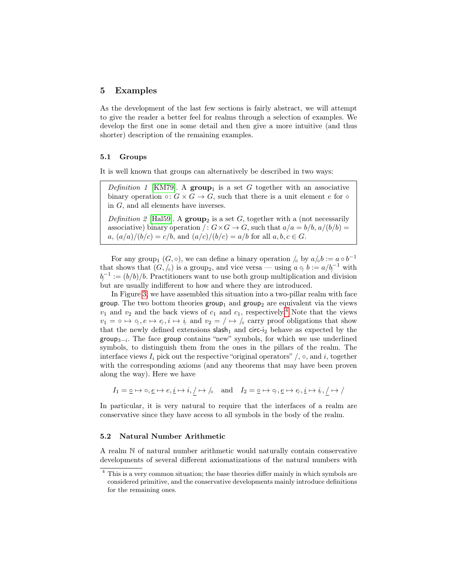### <span id="page-6-0"></span>5 Examples

As the development of the last few sections is fairly abstract, we will attempt to give the reader a better feel for realms through a selection of examples. We develop the first one in some detail and then give a more intuitive (and thus shorter) description of the remaining examples.

#### 5.1 Groups

It is well known that groups can alternatively be described in two ways:

Definition 1 [\[KM79\]](#page-14-6). A group<sub>1</sub> is a set G together with an associative binary operation  $\circ: G \times G \to G$ , such that there is a unit element e for  $\circ$ in G, and all elements have inverses.

Definition 2 [\[Hal59\]](#page-14-7). A group<sub>2</sub> is a set  $G$ , together with a (not necessarily associative) binary operation /:  $G \times G \rightarrow G$ , such that  $a/a = b/b$ ,  $a/(b/b)$  $a, (a/a)/(b/c) = c/b$ , and  $(a/c)/(b/c) = a/b$  for all  $a, b, c \in G$ .

For any group<sub>1</sub>  $(G, \circ)$ , we can define a binary operation  $\int_{\circ}$  by  $a/\circ b := a \circ b^{-1}$ that shows that  $(G, \zeta)$  is a group<sub>2</sub>, and vice versa — using  $a \circ b := a/b^{-1}$  with  $b^{-1} := (b/b)/b$ . Practitioners want to use both group multiplication and division but are usually indifferent to how and where they are introduced.

In Figure [3,](#page-7-0) we have assembled this situation into a two-pillar realm with face group. The two bottom theories group<sub>1</sub> and group<sub>2</sub> are equivalent via the views  $v_1$  and  $v_2$  and the back views of  $c_1$  and  $c_1$ , respectively.<sup>[4](#page-6-1)</sup> Note that the views  $v_1 = \circ \mapsto \circ_{\gamma}, e \mapsto e_{\gamma}, i \mapsto i_{\gamma}$  and  $v_2 = \rightarrow \leftrightarrow \circ_{\gamma}$  carry proof obligations that show that the newly defined extensions  $slash<sub>1</sub>$  and circ-i<sub>2</sub> behave as expected by the group3−<sup>i</sup> . The face group contains "new" symbols, for which we use underlined symbols, to distinguish them from the ones in the pillars of the realm. The interface views  $I_i$  pick out the respective "original operators"  $/$ ,  $\circ$ , and  $i$ , together with the corresponding axioms (and any theorems that may have been proven along the way). Here we have

$$
I_1 = \underline{\circ} \mapsto \circ, \underline{e} \mapsto e, \underline{i} \mapsto i, / \mapsto /_0 \quad \text{and} \quad I_2 = \underline{\circ} \mapsto \circ, \underline{e} \mapsto e, \underline{i} \mapsto i, / \mapsto /
$$

In particular, it is very natural to require that the interfaces of a realm are conservative since they have access to all symbols in the body of the realm.

#### 5.2 Natural Number Arithmetic

A realm N of natural number arithmetic would naturally contain conservative developments of several different axiomatizations of the natural numbers with

<span id="page-6-1"></span><sup>4</sup> This is a very common situation; the base theories differ mainly in which symbols are considered primitive, and the conservative developments mainly introduce definitions for the remaining ones.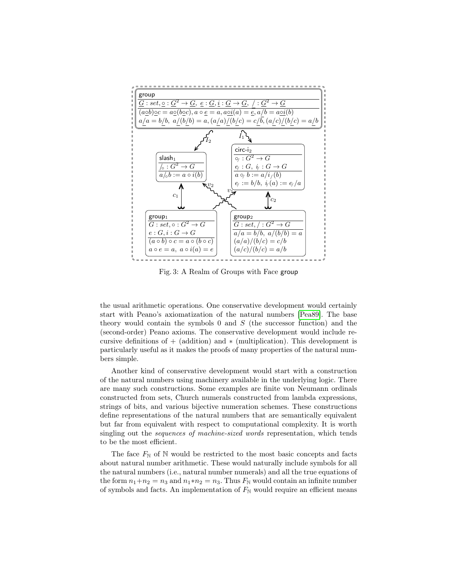<span id="page-7-0"></span>

Fig. 3: A Realm of Groups with Face group

the usual arithmetic operations. One conservative development would certainly start with Peano's axiomatization of the natural numbers [\[Pea89\]](#page-14-8). The base theory would contain the symbols  $\theta$  and  $S$  (the successor function) and the (second-order) Peano axioms. The conservative development would include recursive definitions of  $+$  (addition) and  $*$  (multiplication). This development is particularly useful as it makes the proofs of many properties of the natural numbers simple.

Another kind of conservative development would start with a construction of the natural numbers using machinery available in the underlying logic. There are many such constructions. Some examples are finite von Neumann ordinals constructed from sets, Church numerals constructed from lambda expressions, strings of bits, and various bijective numeration schemes. These constructions define representations of the natural numbers that are semantically equivalent but far from equivalent with respect to computational complexity. It is worth singling out the *sequences of machine-sized words* representation, which tends to be the most efficient.

The face  $F_{\mathbb{N}}$  of  $\mathbb N$  would be restricted to the most basic concepts and facts about natural number arithmetic. These would naturally include symbols for all the natural numbers (i.e., natural number numerals) and all the true equations of the form  $n_1+n_2 = n_3$  and  $n_1*n_2 = n_3$ . Thus  $F_N$  would contain an infinite number of symbols and facts. An implementation of  $F_{\mathbb{N}}$  would require an efficient means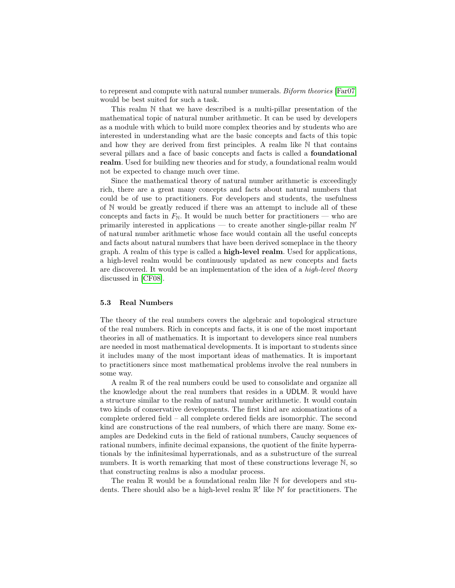to represent and compute with natural number numerals. Biform theories [\[Far07\]](#page-14-9) would be best suited for such a task.

This realm N that we have described is a multi-pillar presentation of the mathematical topic of natural number arithmetic. It can be used by developers as a module with which to build more complex theories and by students who are interested in understanding what are the basic concepts and facts of this topic and how they are derived from first principles. A realm like  $\mathbb N$  that contains several pillars and a face of basic concepts and facts is called a foundational realm. Used for building new theories and for study, a foundational realm would not be expected to change much over time.

Since the mathematical theory of natural number arithmetic is exceedingly rich, there are a great many concepts and facts about natural numbers that could be of use to practitioners. For developers and students, the usefulness of N would be greatly reduced if there was an attempt to include all of these concepts and facts in  $F_{\mathbb{N}}$ . It would be much better for practitioners — who are primarily interested in applications — to create another single-pillar realm N' of natural number arithmetic whose face would contain all the useful concepts and facts about natural numbers that have been derived someplace in the theory graph. A realm of this type is called a high-level realm. Used for applications, a high-level realm would be continuously updated as new concepts and facts are discovered. It would be an implementation of the idea of a high-level theory discussed in [\[CF08\]](#page-13-0).

#### 5.3 Real Numbers

The theory of the real numbers covers the algebraic and topological structure of the real numbers. Rich in concepts and facts, it is one of the most important theories in all of mathematics. It is important to developers since real numbers are needed in most mathematical developments. It is important to students since it includes many of the most important ideas of mathematics. It is important to practitioners since most mathematical problems involve the real numbers in some way.

A realm R of the real numbers could be used to consolidate and organize all the knowledge about the real numbers that resides in a UDLM. R would have a structure similar to the realm of natural number arithmetic. It would contain two kinds of conservative developments. The first kind are axiomatizations of a complete ordered field – all complete ordered fields are isomorphic. The second kind are constructions of the real numbers, of which there are many. Some examples are Dedekind cuts in the field of rational numbers, Cauchy sequences of rational numbers, infinite decimal expansions, the quotient of the finite hyperrationals by the infinitesimal hyperrationals, and as a substructure of the surreal numbers. It is worth remarking that most of these constructions leverage N, so that constructing realms is also a modular process.

The realm R would be a foundational realm like N for developers and students. There should also be a high-level realm  $\mathbb{R}'$  like  $\mathbb{N}'$  for practitioners. The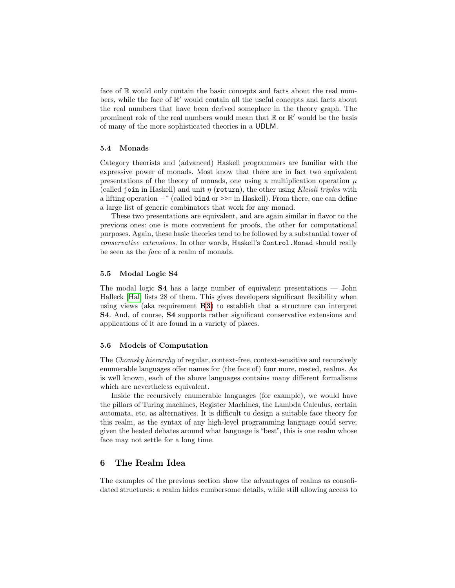face of  $\mathbb R$  would only contain the basic concepts and facts about the real numbers, while the face of  $\mathbb{R}'$  would contain all the useful concepts and facts about the real numbers that have been derived someplace in the theory graph. The prominent role of the real numbers would mean that  $\mathbb R$  or  $\mathbb R'$  would be the basis of many of the more sophisticated theories in a UDLM.

#### 5.4 Monads

Category theorists and (advanced) Haskell programmers are familiar with the expressive power of monads. Most know that there are in fact two equivalent presentations of the theory of monads, one using a multiplication operation  $\mu$ (called join in Haskell) and unit  $\eta$  (return), the other using Kleisli triples with a lifting operation −<sup>∗</sup> (called bind or >>= in Haskell). From there, one can define a large list of generic combinators that work for any monad.

These two presentations are equivalent, and are again similar in flavor to the previous ones: one is more convenient for proofs, the other for computational purposes. Again, these basic theories tend to be followed by a substantial tower of conservative extensions. In other words, Haskell's Control.Monad should really be seen as the face of a realm of monads.

### 5.5 Modal Logic S4

The modal logic S4 has a large number of equivalent presentations — John Halleck [\[Hal\]](#page-14-10) lists 28 of them. This gives developers significant flexibility when using views (aka requirement  $R3$ ) to establish that a structure can interpret S4. And, of course, S4 supports rather significant conservative extensions and applications of it are found in a variety of places.

### 5.6 Models of Computation

The Chomsky hierarchy of regular, context-free, context-sensitive and recursively enumerable languages offer names for (the face of) four more, nested, realms. As is well known, each of the above languages contains many different formalisms which are nevertheless equivalent.

Inside the recursively enumerable languages (for example), we would have the pillars of Turing machines, Register Machines, the Lambda Calculus, certain automata, etc, as alternatives. It is difficult to design a suitable face theory for this realm, as the syntax of any high-level programming language could serve; given the heated debates around what language is "best", this is one realm whose face may not settle for a long time.

# 6 The Realm Idea

The examples of the previous section show the advantages of realms as consolidated structures: a realm hides cumbersome details, while still allowing access to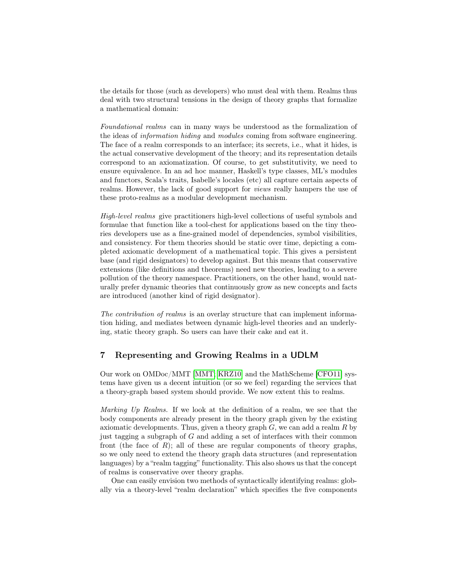the details for those (such as developers) who must deal with them. Realms thus deal with two structural tensions in the design of theory graphs that formalize a mathematical domain:

Foundational realms can in many ways be understood as the formalization of the ideas of information hiding and modules coming from software engineering. The face of a realm corresponds to an interface; its secrets, i.e., what it hides, is the actual conservative development of the theory; and its representation details correspond to an axiomatization. Of course, to get substitutivity, we need to ensure equivalence. In an ad hoc manner, Haskell's type classes, ML's modules and functors, Scala's traits, Isabelle's locales (etc) all capture certain aspects of realms. However, the lack of good support for views really hampers the use of these proto-realms as a modular development mechanism.

High-level realms give practitioners high-level collections of useful symbols and formulae that function like a tool-chest for applications based on the tiny theories developers use as a fine-grained model of dependencies, symbol visibilities, and consistency. For them theories should be static over time, depicting a completed axiomatic development of a mathematical topic. This gives a persistent base (and rigid designators) to develop against. But this means that conservative extensions (like definitions and theorems) need new theories, leading to a severe pollution of the theory namespace. Practitioners, on the other hand, would naturally prefer dynamic theories that continuously grow as new concepts and facts are introduced (another kind of rigid designator).

The contribution of realms is an overlay structure that can implement information hiding, and mediates between dynamic high-level theories and an underlying, static theory graph. So users can have their cake and eat it.

# 7 Representing and Growing Realms in a UDLM

Our work on OMDoc/MMT [\[MMT;](#page-14-11) [KRZ10\]](#page-14-12) and the MathScheme [\[CFO11\]](#page-13-1) systems have given us a decent intuition (or so we feel) regarding the services that a theory-graph based system should provide. We now extent this to realms.

Marking Up Realms. If we look at the definition of a realm, we see that the body components are already present in the theory graph given by the existing axiomatic developments. Thus, given a theory graph  $G$ , we can add a realm  $R$  by just tagging a subgraph of G and adding a set of interfaces with their common front (the face of  $R$ ); all of these are regular components of theory graphs, so we only need to extend the theory graph data structures (and representation languages) by a "realm tagging" functionality. This also shows us that the concept of realms is conservative over theory graphs.

One can easily envision two methods of syntactically identifying realms: globally via a theory-level "realm declaration" which specifies the five components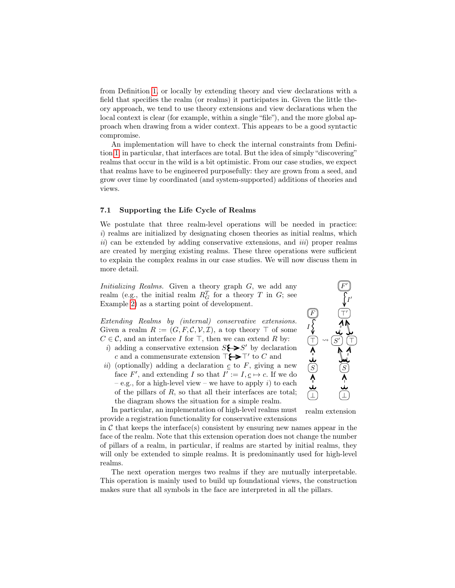from Definition [1,](#page-4-3) or locally by extending theory and view declarations with a field that specifies the realm (or realms) it participates in. Given the little theory approach, we tend to use theory extensions and view declarations when the local context is clear (for example, within a single "file"), and the more global approach when drawing from a wider context. This appears to be a good syntactic compromise.

An implementation will have to check the internal constraints from Definition [1,](#page-4-3) in particular, that interfaces are total. But the idea of simply "discovering" realms that occur in the wild is a bit optimistic. From our case studies, we expect that realms have to be engineered purposefully: they are grown from a seed, and grow over time by coordinated (and system-supported) additions of theories and views.

### 7.1 Supporting the Life Cycle of Realms

We postulate that three realm-level operations will be needed in practice: i) realms are initialized by designating chosen theories as initial realms, which  $ii)$  can be extended by adding conservative extensions, and  $iii)$  proper realms are created by merging existing realms. These three operations were sufficient to explain the complex realms in our case studies. We will now discuss them in more detail.

Initializing Realms. Given a theory graph G, we add any realm (e.g., the initial realm  $R_G^T$  for a theory  $T$  in  $G$ ; see Example [2\)](#page-5-1) as a starting point of development.

Extending Realms by (internal) conservative extensions. Given a realm  $R := (G, F, \mathcal{C}, \mathcal{V}, \mathcal{I})$ , a top theory  $\top$  of some  $C \in \mathcal{C}$ , and an interface I for  $\top$ , then we can extend R by:

- i) adding a conservative extension  $S \rightarrow S'$  by declaration c and a commensurate extension  $\top \leftrightarrow \top'$  to C and
- ii) (optionally) adding a declaration  $c$  to  $F$ , giving a new face  $F'$ , and extending I so that  $I' := I, \underline{c} \mapsto c$ . If we do – e.g., for a high-level view – we have to apply  $i)$  to each of the pillars of  $R$ , so that all their interfaces are total; the diagram shows the situation for a simple realm.



realm extension In particular, an implementation of high-level realms must provide a registration functionality for conservative extensions

in  $\mathcal C$  that keeps the interface(s) consistent by ensuring new names appear in the face of the realm. Note that this extension operation does not change the number of pillars of a realm, in particular, if realms are started by initial realms, they will only be extended to simple realms. It is predominantly used for high-level realms.

The next operation merges two realms if they are mutually interpretable. This operation is mainly used to build up foundational views, the construction makes sure that all symbols in the face are interpreted in all the pillars.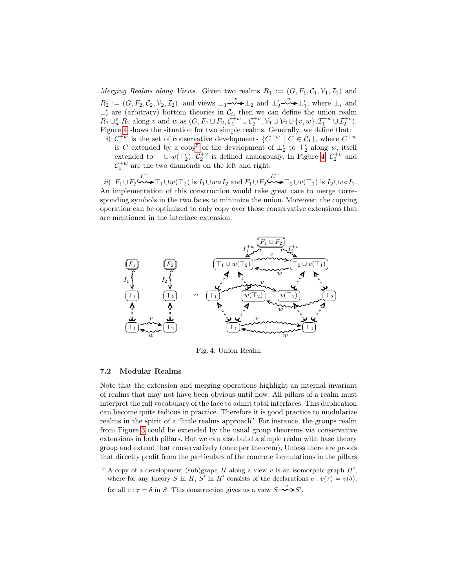*Merging Realms along Views.* Given two realms  $R_1 := (G, F_1, C_1, V_1, \mathcal{I}_1)$  and  $R_2 := (G, F_2, C_2, V_2, \mathcal{I}_2)$ , and views  $\perp_1 \stackrel{v}{\longrightarrow} \perp_2$  and  $\perp_2'$  $\stackrel{w}{\leftrightarrow} \perp'_1$ , where  $\perp_i$  and  $\perp'_{i}$  are (arbitrary) bottom theories in  $\mathcal{C}_{i}$ , then we can define the union realm  $R_1 \cup_w^v R_2$  along v and w as  $(G, F_1 \cup F_2, C_1^{+w} \cup C_2^{+v}, V_1 \cup V_2 \cup \{v, w\}, \mathcal{I}_1^{+w} \cup \mathcal{I}_2^{+v}).$ Figure [4](#page-12-0) shows the situation for two simple realms. Generally, we define that:

*i*)  $C_1^{+w}$  is the set of conservative developments  $\{C^{+w} \mid C \in C_1\}$ , where  $C^{+w}$ is C extended by a copy<sup>[5](#page-12-1)</sup> of the development of  $\perp'_2$  to  $\top'_2$  along w, itself extended to  $\top \cup w(\top'_2)$ .  $C_2^{+v}$  is defined analogously. In Figure [4,](#page-12-0)  $C_2^{+v}$  and  $C_1^{+w}$  are the two diamonds on the left and right.

ii)  $F_1 \cup F_2 \xrightarrow{\qquad \qquad I_1^{+w}} \top_1 \cup w(\top_2)$  is  $I_1 \cup w \circ I_2$  and  $F_1 \cup F_2 \xrightarrow{\qquad \qquad I_2^{+v}} \top_2 \cup v(\top_1)$  is  $I_2 \cup v \circ I_1$ . An implementation of this construction would take great care to merge corresponding symbols in the two faces to minimize the union. Moreover, the copying operation can be optimized to only copy over those conservative extensions that are mentioned in the interface extension.

<span id="page-12-0"></span>

Fig. 4: Union Realm

#### 7.2 Modular Realms

Note that the extension and merging operations highlight an internal invariant of realms that may not have been obvious until now: All pillars of a realm must interpret the full vocabulary of the face to admit total interfaces. This duplication can become quite tedious in practice. Therefore it is good practice to modularize realms in the spirit of a "little realms approach". For instance, the groups realm from Figure [3](#page-7-0) could be extended by the usual group theorems via conservative extensions in both pillars. But we can also build a simple realm with base theory group and extend that conservatively (once per theorem). Unless there are proofs that directly profit from the particulars of the concrete formulations in the pillars

<span id="page-12-1"></span> $5$  A copy of a development (sub)graph H along a view v is an isomorphic graph  $H'$ , where for any theory S in H, S' in H' consists of the declarations  $c : v(\tau) = v(\delta)$ , for all  $c : \tau = \delta$  in S. This construction gives us a view  $S \rightarrow S'$ .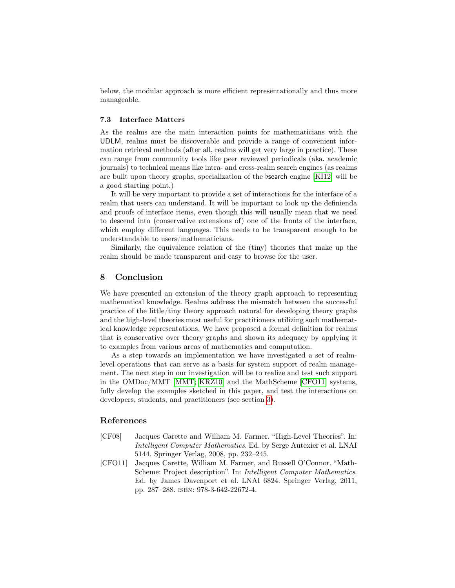below, the modular approach is more efficient representationally and thus more manageable.

#### 7.3 Interface Matters

As the realms are the main interaction points for mathematicians with the UDLM, realms must be discoverable and provide a range of convenient information retrieval methods (after all, realms will get very large in practice). These can range from community tools like peer reviewed periodicals (aka. academic journals) to technical means like intra- and cross-realm search engines (as realms are built upon theory graphs, specialization of the bearch engine [\[KI12\]](#page-14-13) will be a good starting point.)

It will be very important to provide a set of interactions for the interface of a realm that users can understand. It will be important to look up the definienda and proofs of interface items, even though this will usually mean that we need to descend into (conservative extensions of) one of the fronts of the interface, which employ different languages. This needs to be transparent enough to be understandable to users/mathematicians.

Similarly, the equivalence relation of the (tiny) theories that make up the realm should be made transparent and easy to browse for the user.

# 8 Conclusion

We have presented an extension of the theory graph approach to representing mathematical knowledge. Realms address the mismatch between the successful practice of the little/tiny theory approach natural for developing theory graphs and the high-level theories most useful for practitioners utilizing such mathematical knowledge representations. We have proposed a formal definition for realms that is conservative over theory graphs and shown its adequacy by applying it to examples from various areas of mathematics and computation.

As a step towards an implementation we have investigated a set of realmlevel operations that can serve as a basis for system support of realm management. The next step in our investigation will be to realize and test such support in the OMDoc/MMT [\[MMT;](#page-14-11) [KRZ10\]](#page-14-12) and the MathScheme [\[CFO11\]](#page-13-1) systems, fully develop the examples sketched in this paper, and test the interactions on developers, students, and practitioners (see section [3\)](#page-3-0).

### References

- <span id="page-13-0"></span>[CF08] Jacques Carette and William M. Farmer. "High-Level Theories". In: Intelligent Computer Mathematics. Ed. by Serge Autexier et al. LNAI 5144. Springer Verlag, 2008, pp. 232–245.
- <span id="page-13-1"></span>[CFO11] Jacques Carette, William M. Farmer, and Russell O'Connor. "Math-Scheme: Project description". In: Intelligent Computer Mathematics. Ed. by James Davenport et al. LNAI 6824. Springer Verlag, 2011, pp. 287–288. isbn: 978-3-642-22672-4.